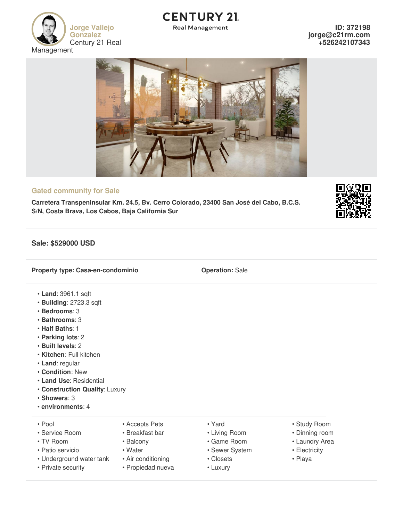

# **CENTURY 21**

**Real Management** 

**ID: 372198 jorge@c21rm.com +526242107343**



## **Gated community for Sale**

**Carretera Transpeninsular Km. 24.5, Bv. Cerro Colorado, 23400 San José del Cabo, B.C.S. S/N, Costa Brava, Los Cabos, Baja California Sur**

## **Sale: \$529000 USD**

**Property type: Casa-en-condominio Operation:** Sale

- **Land**: 3961.1 sqft
- **Building**: 2723.3 sqft
- **Bedrooms**: 3
- **Bathrooms**: 3
- **Half Baths**: 1
- **Parking lots**: 2
- **Built levels**: 2
- **Kitchen**: Full kitchen
- **Land**: regular
- **Condition**: New
- **Land Use**: Residential
- **Construction Quality**: Luxury
- **Showers**: 3
- **environments**: 4
- 
- 
- 
- -
- Underground water tank Air conditioning \* The Closets Playa
	-
- 
- Service Room Breakfast bar Living Room Dinning room
	-
- Patio servicio Water Sewer System • Electricity
	-
	-
- Pool Accepts Pets Yard Yard Study Room
	-
- TV Room Balcony Came Room Laundry Area
	-
	-

• Private security • Propiedad nueva • Luxury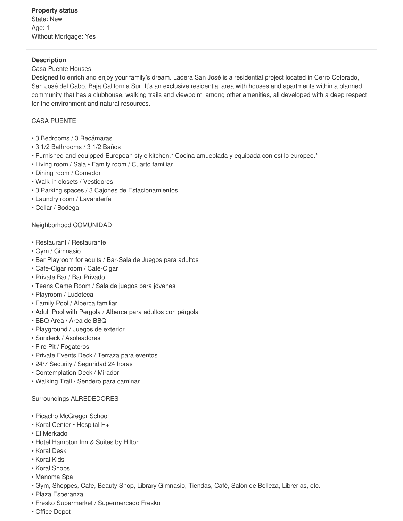#### **Description**

#### Casa Puente Houses

Designed to enrich and enjoy your family's dream. Ladera San José is a residential project located in Cerro Colorado, San José del Cabo, Baja California Sur. It's an exclusive residential area with houses and apartments within a planned community that has a clubhouse, walking trails and viewpoint, among other amenities, all developed with a deep respect for the environment and natural resources.

## CASA PUENTE

- 3 Bedrooms / 3 Recámaras
- 3 1/2 Bathrooms / 3 1/2 Baños
- Furnished and equipped European style kitchen.\* Cocina amueblada y equipada con estilo europeo.\*
- Living room / Sala Family room / Cuarto familiar
- Dining room / Comedor
- Walk-in closets / Vestidores
- 3 Parking spaces / 3 Cajones de Estacionamientos
- Laundry room / Lavandería
- Cellar / Bodega

#### Neighborhood COMUNIDAD

- Restaurant / Restaurante
- Gym / Gimnasio
- Bar Playroom for adults / Bar-Sala de Juegos para adultos
- Cafe-Cigar room / Café-Cigar
- Private Bar / Bar Privado
- Teens Game Room / Sala de juegos para jóvenes
- Playroom / Ludoteca
- Family Pool / Alberca familiar
- Adult Pool with Pergola / Alberca para adultos con pérgola
- BBQ Area / Área de BBQ
- Playground / Juegos de exterior
- Sundeck / Asoleadores
- Fire Pit / Fogateros
- Private Events Deck / Terraza para eventos
- 24/7 Security / Seguridad 24 horas
- Contemplation Deck / Mirador
- Walking Trail / Sendero para caminar

#### Surroundings ALREDEDORES

- Picacho McGregor School
- Koral Center Hospital H+
- El Merkado
- Hotel Hampton Inn & Suites by Hilton
- Koral Desk
- Koral Kids
- Koral Shops
- Manoma Spa
- Gym, Shoppes, Cafe, Beauty Shop, Library Gimnasio, Tiendas, Café, Salón de Belleza, Librerías, etc.
- Plaza Esperanza
- Fresko Supermarket / Supermercado Fresko
- Office Depot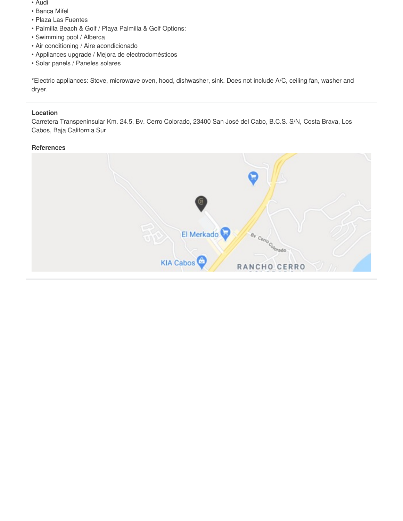- Audi
- Banca Mifel
- Plaza Las Fuentes
- Palmilla Beach & Golf / Playa Palmilla & Golf Options:
- Swimming pool / Alberca
- Air conditioning / Aire acondicionado
- Appliances upgrade / Mejora de electrodomésticos
- Solar panels / Paneles solares

\*Electric appliances: Stove, microwave oven, hood, dishwasher, sink. Does not include A/C, ceiling fan, washer and dryer.

## **Location**

Carretera Transpeninsular Km. 24.5, Bv. Cerro Colorado, 23400 San José del Cabo, B.C.S. S/N, Costa Brava, Los Cabos, Baja California Sur

## **References**